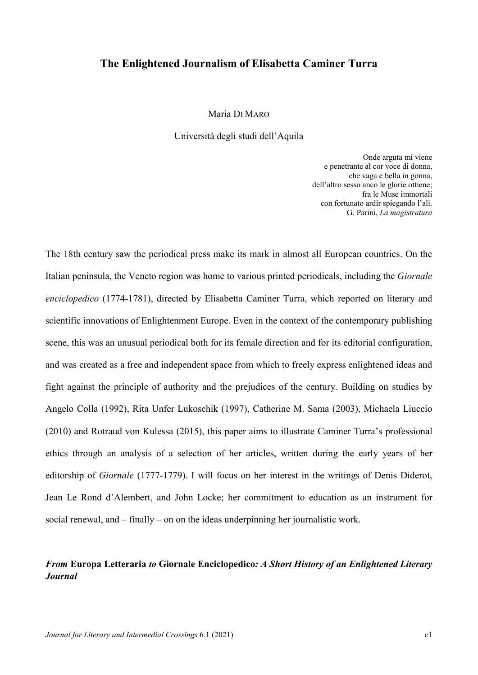# The Enlightened Journalism of Elisabetta Caminer Turra

Maria DI MARO

Università degli studi dell'Aquila

Onde arguta mi viene e penetrante al cor voce di donna, che vaga e bella in gonna, dell'altro sesso anco le glorie ottiene; fra le Muse immortali con fortunato ardir spiegando l'ali. G. Parini, La magistratura

The 18th century saw the periodical press make its mark in almost all European countries. On the Italian peninsula, the Veneto region was home to various printed periodicals, including the Giornale enciclopedico (1774-1781), directed by Elisabetta Caminer Turra, which reported on literary and scientific innovations of Enlightenment Europe. Even in the context of the contemporary publishing scene, this was an unusual periodical both for its female direction and for its editorial configuration, and was created as a free and independent space from which to freely express enlightened ideas and fight against the principle of authority and the prejudices of the century. Building on studies by Angelo Colla (1992), Rita Unfer Lukoschik (1997), Catherine M. Sama (2003), Michaela Liuccio (2010) and Rotraud von Kulessa (2015), this paper aims to illustrate Caminer Turra's professional ethics through an analysis of a selection of her articles, written during the early years of her editorship of Giornale (1777-1779). I will focus on her interest in the writings of Denis Diderot, Jean Le Rond d'Alembert, and John Locke; her commitment to education as an instrument for social renewal, and – finally – on on the ideas underpinning her journalistic work.

# From Europa Letteraria to Giornale Enciclopedico: A Short History of an Enlightened Literary Journal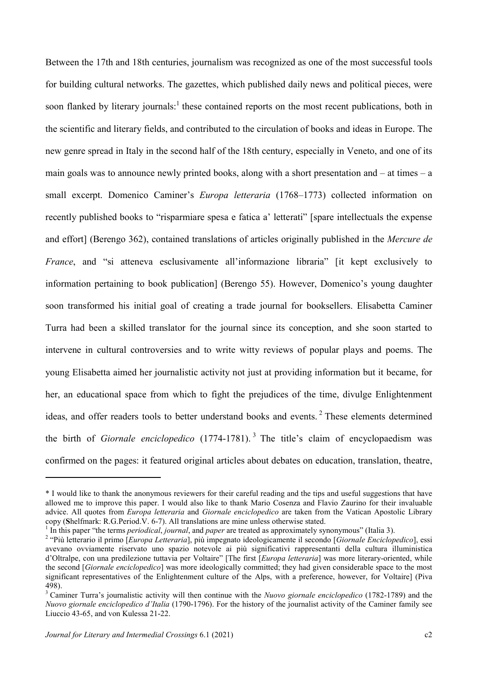Between the 17th and 18th centuries, journalism was recognized as one of the most successful tools for building cultural networks. The gazettes, which published daily news and political pieces, were soon flanked by literary journals:<sup>1</sup> these contained reports on the most recent publications, both in the scientific and literary fields, and contributed to the circulation of books and ideas in Europe. The new genre spread in Italy in the second half of the 18th century, especially in Veneto, and one of its main goals was to announce newly printed books, along with a short presentation and  $-$  at times  $-$  a small excerpt. Domenico Caminer's Europa letteraria (1768–1773) collected information on recently published books to "risparmiare spesa e fatica a' letterati" [spare intellectuals the expense and effort] (Berengo 362), contained translations of articles originally published in the Mercure de France, and "si atteneva esclusivamente all'informazione libraria" [it kept exclusively to information pertaining to book publication] (Berengo 55). However, Domenico's young daughter soon transformed his initial goal of creating a trade journal for booksellers. Elisabetta Caminer Turra had been a skilled translator for the journal since its conception, and she soon started to intervene in cultural controversies and to write witty reviews of popular plays and poems. The young Elisabetta aimed her journalistic activity not just at providing information but it became, for her, an educational space from which to fight the prejudices of the time, divulge Enlightenment ideas, and offer readers tools to better understand books and events.<sup>2</sup> These elements determined the birth of *Giornale enciclopedico* (1774-1781).<sup>3</sup> The title's claim of encyclopaedism was confirmed on the pages: it featured original articles about debates on education, translation, theatre,

<sup>\*</sup> I would like to thank the anonymous reviewers for their careful reading and the tips and useful suggestions that have allowed me to improve this paper. I would also like to thank Mario Cosenza and Flavio Zaurino for their invaluable advice. All quotes from *Europa letteraria* and *Giornale enciclopedico* are taken from the Vatican Apostolic Library copy (Shelfmark: R.G.Period.V. 6-7). All translations are mine unless otherwise stated.

 $1$  In this paper "the terms *periodical, journal*, and *paper* are treated as approximately synonymous" (Italia 3).

<sup>&</sup>lt;sup>2</sup> "Più letterario il primo [Europa Letteraria], più impegnato ideologicamente il secondo [Giornale Enciclopedico], essi avevano ovviamente riservato uno spazio notevole ai più significativi rappresentanti della cultura illuministica d'Oltralpe, con una predilezione tuttavia per Voltaire" [The first [Europa letteraria] was more literary-oriented, while the second [*Giornale enciclopedico*] was more ideologically committed; they had given considerable space to the most significant representatives of the Enlightenment culture of the Alps, with a preference, however, for Voltaire] (Piva 498).

 $3$  Caminer Turra's journalistic activity will then continue with the Nuovo giornale enciclopedico (1782-1789) and the Nuovo giornale enciclopedico d'Italia (1790-1796). For the history of the journalist activity of the Caminer family see Liuccio 43-65, and von Kulessa 21-22.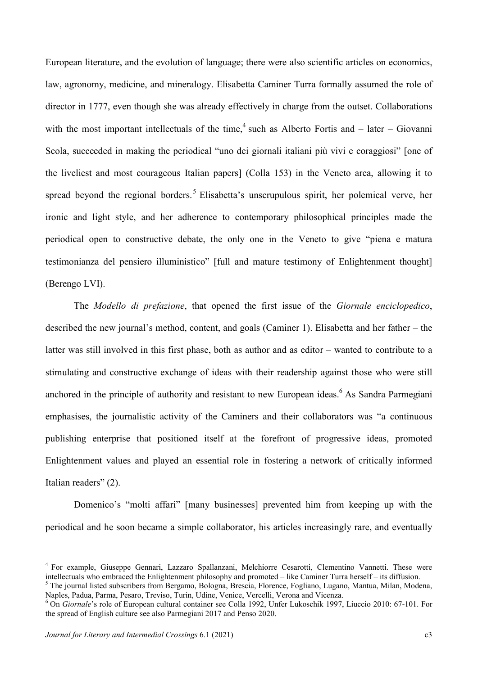European literature, and the evolution of language; there were also scientific articles on economics, law, agronomy, medicine, and mineralogy. Elisabetta Caminer Turra formally assumed the role of director in 1777, even though she was already effectively in charge from the outset. Collaborations with the most important intellectuals of the time,<sup>4</sup> such as Alberto Fortis and  $-$  later  $-$  Giovanni Scola, succeeded in making the periodical "uno dei giornali italiani più vivi e coraggiosi" [one of the liveliest and most courageous Italian papers] (Colla 153) in the Veneto area, allowing it to spread beyond the regional borders.<sup>5</sup> Elisabetta's unscrupulous spirit, her polemical verve, her ironic and light style, and her adherence to contemporary philosophical principles made the periodical open to constructive debate, the only one in the Veneto to give "piena e matura testimonianza del pensiero illuministico" [full and mature testimony of Enlightenment thought] (Berengo LVI).

The Modello di prefazione, that opened the first issue of the Giornale enciclopedico, described the new journal's method, content, and goals (Caminer 1). Elisabetta and her father – the latter was still involved in this first phase, both as author and as editor – wanted to contribute to a stimulating and constructive exchange of ideas with their readership against those who were still anchored in the principle of authority and resistant to new European ideas.<sup>6</sup> As Sandra Parmegiani emphasises, the journalistic activity of the Caminers and their collaborators was "a continuous publishing enterprise that positioned itself at the forefront of progressive ideas, promoted Enlightenment values and played an essential role in fostering a network of critically informed Italian readers" (2).

Domenico's "molti affari" [many businesses] prevented him from keeping up with the periodical and he soon became a simple collaborator, his articles increasingly rare, and eventually

<sup>&</sup>lt;sup>4</sup> For example, Giuseppe Gennari, Lazzaro Spallanzani, Melchiorre Cesarotti, Clementino Vannetti. These were intellectuals who embraced the Enlightenment philosophy and promoted – like Caminer Turra herself – its diffusion.

<sup>&</sup>lt;sup>5</sup> The journal listed subscribers from Bergamo, Bologna, Brescia, Florence, Fogliano, Lugano, Mantua, Milan, Modena, Naples, Padua, Parma, Pesaro, Treviso, Turin, Udine, Venice, Vercelli, Verona and Vicenza.

<sup>&</sup>lt;sup>6</sup> On Giornale's role of European cultural container see Colla 1992, Unfer Lukoschik 1997, Liuccio 2010: 67-101. For the spread of English culture see also Parmegiani 2017 and Penso 2020.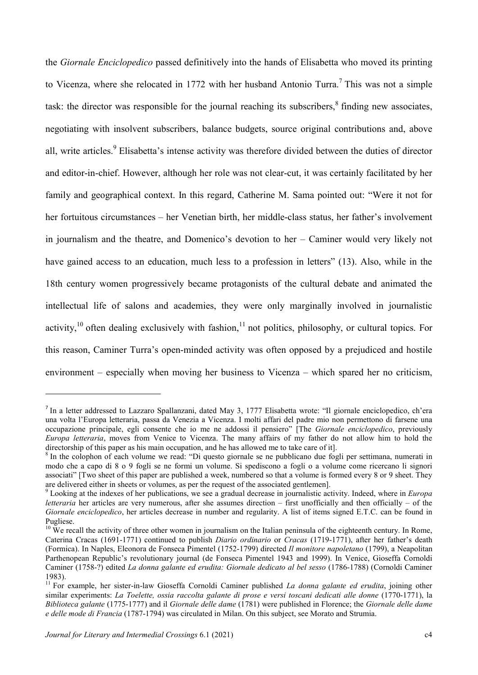the Giornale Enciclopedico passed definitively into the hands of Elisabetta who moved its printing to Vicenza, where she relocated in 1772 with her husband Antonio Turra.<sup>7</sup> This was not a simple task: the director was responsible for the journal reaching its subscribers, $\delta$  finding new associates, negotiating with insolvent subscribers, balance budgets, source original contributions and, above all, write articles.<sup>9</sup> Elisabetta's intense activity was therefore divided between the duties of director and editor-in-chief. However, although her role was not clear-cut, it was certainly facilitated by her family and geographical context. In this regard, Catherine M. Sama pointed out: "Were it not for her fortuitous circumstances – her Venetian birth, her middle-class status, her father's involvement in journalism and the theatre, and Domenico's devotion to her – Caminer would very likely not have gained access to an education, much less to a profession in letters" (13). Also, while in the 18th century women progressively became protagonists of the cultural debate and animated the intellectual life of salons and academies, they were only marginally involved in journalistic activity, $10$  often dealing exclusively with fashion, $11$  not politics, philosophy, or cultural topics. For this reason, Caminer Turra's open-minded activity was often opposed by a prejudiced and hostile environment – especially when moving her business to Vicenza – which spared her no criticism,

<sup>&</sup>lt;sup>7</sup> In a letter addressed to Lazzaro Spallanzani, dated May 3, 1777 Elisabetta wrote: "Il giornale enciclopedico, ch'era una volta l'Europa letteraria, passa da Venezia a Vicenza. I molti affari del padre mio non permettono di farsene una occupazione principale, egli consente che io me ne addossi il pensiero" [The Giornale enciclopedico, previously Europa letteraria, moves from Venice to Vicenza. The many affairs of my father do not allow him to hold the directorship of this paper as his main occupation, and he has allowed me to take care of it].

<sup>&</sup>lt;sup>8</sup> In the colophon of each volume we read: "Di questo giornale se ne pubblicano due fogli per settimana, numerati in modo che a capo di 8 o 9 fogli se ne formi un volume. Si spediscono a fogli o a volume come ricercano li signori associati" [Two sheet of this paper are published a week, numbered so that a volume is formed every 8 or 9 sheet. They are delivered either in sheets or volumes, as per the request of the associated gentlemen].

 $9$  Looking at the indexes of her publications, we see a gradual decrease in journalistic activity. Indeed, where in Europa letteraria her articles are very numerous, after she assumes direction – first unofficially and then officially – of the Giornale enciclopedico, her articles decrease in number and regularity. A list of items signed E.T.C. can be found in Pugliese.

 $10\text{ }\text{We recall}$  the activity of three other women in journalism on the Italian peninsula of the eighteenth century. In Rome, Caterina Cracas (1691-1771) continued to publish Diario ordinario or Cracas (1719-1771), after her father's death (Formica). In Naples, Eleonora de Fonseca Pimentel (1752-1799) directed Il monitore napoletano (1799), a Neapolitan Parthenopean Republic's revolutionary journal (de Fonseca Pimentel 1943 and 1999). In Venice, Gioseffa Cornoldi Caminer (1758-?) edited La donna galante ed erudita: Giornale dedicato al bel sesso (1786-1788) (Cornoldi Caminer 1983).

<sup>&</sup>lt;sup>11</sup> For example, her sister-in-law Gioseffa Cornoldi Caminer published *La donna galante ed erudita*, joining other similar experiments: La Toelette, ossia raccolta galante di prose e versi toscani dedicati alle donne (1770-1771), la Biblioteca galante (1775-1777) and il Giornale delle dame (1781) were published in Florence; the Giornale delle dame e delle mode di Francia (1787-1794) was circulated in Milan. On this subject, see Morato and Strumia.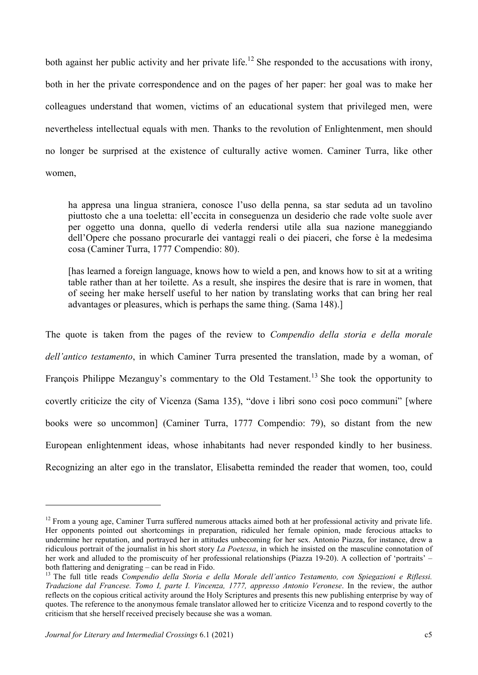both against her public activity and her private life.<sup>12</sup> She responded to the accusations with irony, both in her the private correspondence and on the pages of her paper: her goal was to make her colleagues understand that women, victims of an educational system that privileged men, were nevertheless intellectual equals with men. Thanks to the revolution of Enlightenment, men should no longer be surprised at the existence of culturally active women. Caminer Turra, like other women,

ha appresa una lingua straniera, conosce l'uso della penna, sa star seduta ad un tavolino piuttosto che a una toeletta: ell'eccita in conseguenza un desiderio che rade volte suole aver per oggetto una donna, quello di vederla rendersi utile alla sua nazione maneggiando dell'Opere che possano procurarle dei vantaggi reali o dei piaceri, che forse è la medesima cosa (Caminer Turra, 1777 Compendio: 80).

[has learned a foreign language, knows how to wield a pen, and knows how to sit at a writing table rather than at her toilette. As a result, she inspires the desire that is rare in women, that of seeing her make herself useful to her nation by translating works that can bring her real advantages or pleasures, which is perhaps the same thing. (Sama 148).]

The quote is taken from the pages of the review to *Compendio della storia e della morale* dell'antico testamento, in which Caminer Turra presented the translation, made by a woman, of François Philippe Mezanguy's commentary to the Old Testament.<sup>13</sup> She took the opportunity to covertly criticize the city of Vicenza (Sama 135), "dove i libri sono così poco communi" [where books were so uncommon] (Caminer Turra, 1777 Compendio: 79), so distant from the new European enlightenment ideas, whose inhabitants had never responded kindly to her business. Recognizing an alter ego in the translator, Elisabetta reminded the reader that women, too, could

<sup>&</sup>lt;sup>12</sup> From a young age, Caminer Turra suffered numerous attacks aimed both at her professional activity and private life. Her opponents pointed out shortcomings in preparation, ridiculed her female opinion, made ferocious attacks to undermine her reputation, and portrayed her in attitudes unbecoming for her sex. Antonio Piazza, for instance, drew a ridiculous portrait of the journalist in his short story La Poetessa, in which he insisted on the masculine connotation of her work and alluded to the promiscuity of her professional relationships (Piazza 19-20). A collection of 'portraits' – both flattering and denigrating – can be read in Fido.

<sup>&</sup>lt;sup>13</sup> The full title reads Compendio della Storia e della Morale dell'antico Testamento, con Spiegazioni e Riflessi. Traduzione dal Francese. Tomo I, parte I. Vincenza, 1777, appresso Antonio Veronese. In the review, the author reflects on the copious critical activity around the Holy Scriptures and presents this new publishing enterprise by way of quotes. The reference to the anonymous female translator allowed her to criticize Vicenza and to respond covertly to the criticism that she herself received precisely because she was a woman.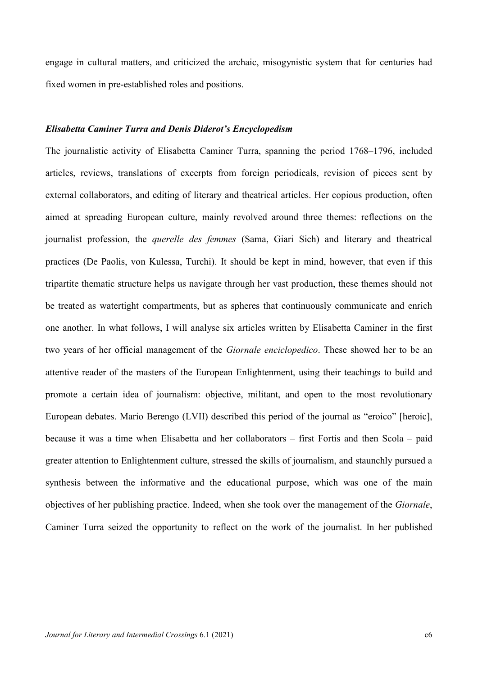engage in cultural matters, and criticized the archaic, misogynistic system that for centuries had fixed women in pre-established roles and positions.

## Elisabetta Caminer Turra and Denis Diderot's Encyclopedism

The journalistic activity of Elisabetta Caminer Turra, spanning the period 1768–1796, included articles, reviews, translations of excerpts from foreign periodicals, revision of pieces sent by external collaborators, and editing of literary and theatrical articles. Her copious production, often aimed at spreading European culture, mainly revolved around three themes: reflections on the journalist profession, the *querelle des femmes* (Sama, Giari Sich) and literary and theatrical practices (De Paolis, von Kulessa, Turchi). It should be kept in mind, however, that even if this tripartite thematic structure helps us navigate through her vast production, these themes should not be treated as watertight compartments, but as spheres that continuously communicate and enrich one another. In what follows, I will analyse six articles written by Elisabetta Caminer in the first two years of her official management of the Giornale enciclopedico. These showed her to be an attentive reader of the masters of the European Enlightenment, using their teachings to build and promote a certain idea of journalism: objective, militant, and open to the most revolutionary European debates. Mario Berengo (LVII) described this period of the journal as "eroico" [heroic], because it was a time when Elisabetta and her collaborators – first Fortis and then Scola – paid greater attention to Enlightenment culture, stressed the skills of journalism, and staunchly pursued a synthesis between the informative and the educational purpose, which was one of the main objectives of her publishing practice. Indeed, when she took over the management of the Giornale, Caminer Turra seized the opportunity to reflect on the work of the journalist. In her published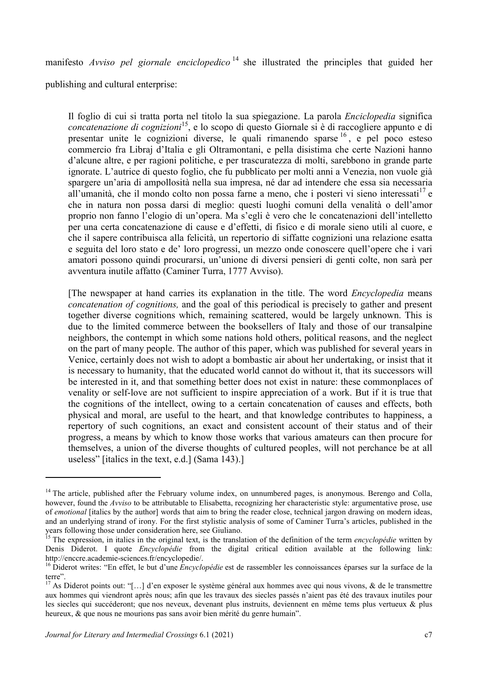manifesto Avviso pel giornale enciclopedico<sup>14</sup> she illustrated the principles that guided her

publishing and cultural enterprise:

Il foglio di cui si tratta porta nel titolo la sua spiegazione. La parola Enciclopedia significa concatenazione di cognizioni<sup>15</sup>, e lo scopo di questo Giornale si è di raccogliere appunto e di presentar unite le cognizioni diverse, le quali rimanendo sparse <sup>16</sup> , e pel poco esteso commercio fra Libraj d'Italia e gli Oltramontani, e pella disistima che certe Nazioni hanno d'alcune altre, e per ragioni politiche, e per trascuratezza di molti, sarebbono in grande parte ignorate. L'autrice di questo foglio, che fu pubblicato per molti anni a Venezia, non vuole già spargere un'aria di ampollosità nella sua impresa, né dar ad intendere che essa sia necessaria all'umanità, che il mondo colto non possa farne a meno, che i posteri vi sieno interessati<sup>17</sup> e che in natura non possa darsi di meglio: questi luoghi comuni della venalità o dell'amor proprio non fanno l'elogio di un'opera. Ma s'egli è vero che le concatenazioni dell'intelletto per una certa concatenazione di cause e d'effetti, di fisico e di morale sieno utili al cuore, e che il sapere contribuisca alla felicità, un repertorio di siffatte cognizioni una relazione esatta e seguita del loro stato e de' loro progressi, un mezzo onde conoscere quell'opere che i vari amatori possono quindi procurarsi, un'unione di diversi pensieri di genti colte, non sarà per avventura inutile affatto (Caminer Turra, 1777 Avviso).

[The newspaper at hand carries its explanation in the title. The word Encyclopedia means concatenation of cognitions, and the goal of this periodical is precisely to gather and present together diverse cognitions which, remaining scattered, would be largely unknown. This is due to the limited commerce between the booksellers of Italy and those of our transalpine neighbors, the contempt in which some nations hold others, political reasons, and the neglect on the part of many people. The author of this paper, which was published for several years in Venice, certainly does not wish to adopt a bombastic air about her undertaking, or insist that it is necessary to humanity, that the educated world cannot do without it, that its successors will be interested in it, and that something better does not exist in nature: these commonplaces of venality or self-love are not sufficient to inspire appreciation of a work. But if it is true that the cognitions of the intellect, owing to a certain concatenation of causes and effects, both physical and moral, are useful to the heart, and that knowledge contributes to happiness, a repertory of such cognitions, an exact and consistent account of their status and of their progress, a means by which to know those works that various amateurs can then procure for themselves, a union of the diverse thoughts of cultured peoples, will not perchance be at all useless" [italics in the text, e.d.] (Sama 143).]

<sup>&</sup>lt;sup>14</sup> The article, published after the February volume index, on unnumbered pages, is anonymous. Berengo and Colla, however, found the Avviso to be attributable to Elisabetta, recognizing her characteristic style: argumentative prose, use of emotional [italics by the author] words that aim to bring the reader close, technical jargon drawing on modern ideas, and an underlying strand of irony. For the first stylistic analysis of some of Caminer Turra's articles, published in the years following those under consideration here, see Giuliano.

 $15$  The expression, in italics in the original text, is the translation of the definition of the term *encyclopédie* written by Denis Diderot. I quote *Encyclopédie* from the digital critical edition available at the following link: http://enccre.academie-sciences.fr/encyclopedie/.

 $^{16}$  Diderot writes: "En effet, le but d'une  $\overline{Encyclop\acute{e}die}$  est de rassembler les connoissances éparses sur la surface de la terre".

<sup>&</sup>lt;sup>17</sup> As Diderot points out: "[...] d'en exposer le système général aux hommes avec qui nous vivons, & de le transmettre aux hommes qui viendront après nous; afin que les travaux des siecles passés n'aient pas été des travaux inutiles pour les siecles qui succéderont; que nos neveux, devenant plus instruits, deviennent en même tems plus vertueux & plus heureux, & que nous ne mourions pas sans avoir bien mérité du genre humain".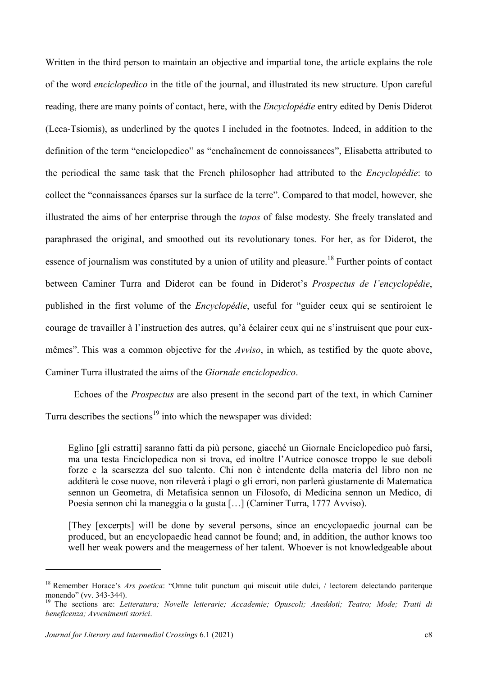Written in the third person to maintain an objective and impartial tone, the article explains the role of the word enciclopedico in the title of the journal, and illustrated its new structure. Upon careful reading, there are many points of contact, here, with the Encyclopédie entry edited by Denis Diderot (Leca-Tsiomis), as underlined by the quotes I included in the footnotes. Indeed, in addition to the definition of the term "enciclopedico" as "enchaînement de connoissances", Elisabetta attributed to the periodical the same task that the French philosopher had attributed to the *Encyclopédie*: to collect the "connaissances éparses sur la surface de la terre". Compared to that model, however, she illustrated the aims of her enterprise through the topos of false modesty. She freely translated and paraphrased the original, and smoothed out its revolutionary tones. For her, as for Diderot, the essence of journalism was constituted by a union of utility and pleasure.<sup>18</sup> Further points of contact between Caminer Turra and Diderot can be found in Diderot's Prospectus de l'encyclopédie, published in the first volume of the Encyclopédie, useful for "guider ceux qui se sentiroient le courage de travailler à l'instruction des autres, qu'à éclairer ceux qui ne s'instruisent que pour euxmêmes". This was a common objective for the *Avviso*, in which, as testified by the quote above, Caminer Turra illustrated the aims of the Giornale enciclopedico.

Echoes of the Prospectus are also present in the second part of the text, in which Caminer Turra describes the sections<sup>19</sup> into which the newspaper was divided:

Eglino [gli estratti] saranno fatti da più persone, giacché un Giornale Enciclopedico può farsi, ma una testa Enciclopedica non si trova, ed inoltre l'Autrice conosce troppo le sue deboli forze e la scarsezza del suo talento. Chi non è intendente della materia del libro non ne additerà le cose nuove, non rileverà i plagi o gli errori, non parlerà giustamente di Matematica sennon un Geometra, di Metafisica sennon un Filosofo, di Medicina sennon un Medico, di Poesia sennon chi la maneggia o la gusta […] (Caminer Turra, 1777 Avviso).

[They [excerpts] will be done by several persons, since an encyclopaedic journal can be produced, but an encyclopaedic head cannot be found; and, in addition, the author knows too well her weak powers and the meagerness of her talent. Whoever is not knowledgeable about

<sup>&</sup>lt;sup>18</sup> Remember Horace's *Ars poetica*: "Omne tulit punctum qui miscuit utile dulci, / lectorem delectando pariterque monendo" (vv. 343-344).

<sup>&</sup>lt;sup>19</sup> The sections are: Letteratura; Novelle letterarie; Accademie; Opuscoli; Aneddoti; Teatro; Mode; Tratti di beneficenza; Avvenimenti storici.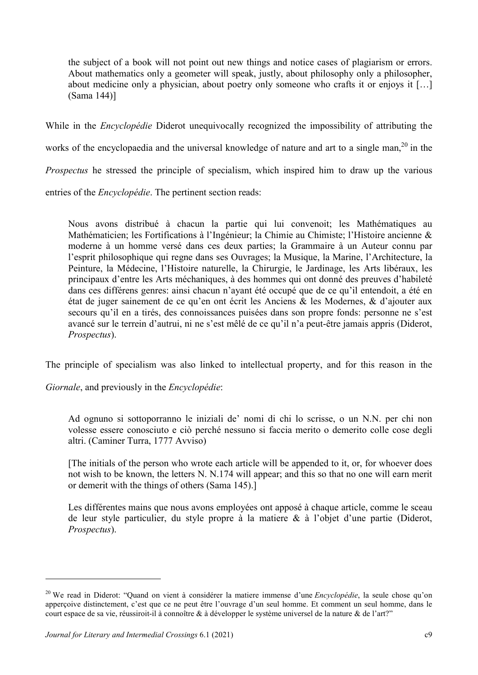the subject of a book will not point out new things and notice cases of plagiarism or errors. About mathematics only a geometer will speak, justly, about philosophy only a philosopher, about medicine only a physician, about poetry only someone who crafts it or enjoys it […] (Sama 144)]

While in the *Encyclopédie* Diderot unequivocally recognized the impossibility of attributing the works of the encyclopaedia and the universal knowledge of nature and art to a single man,<sup>20</sup> in the Prospectus he stressed the principle of specialism, which inspired him to draw up the various entries of the Encyclopédie. The pertinent section reads:

Nous avons distribué à chacun la partie qui lui convenoit; les Mathématiques au Mathématicien; les Fortifications à l'Ingénieur; la Chimie au Chimiste; l'Histoire ancienne & moderne à un homme versé dans ces deux parties; la Grammaire à un Auteur connu par l'esprit philosophique qui regne dans ses Ouvrages; la Musique, la Marine, l'Architecture, la Peinture, la Médecine, l'Histoire naturelle, la Chirurgie, le Jardinage, les Arts libéraux, les principaux d'entre les Arts méchaniques, à des hommes qui ont donné des preuves d'habileté dans ces différens genres: ainsi chacun n'ayant été occupé que de ce qu'il entendoit, a été en état de juger sainement de ce qu'en ont écrit les Anciens & les Modernes, & d'ajouter aux secours qu'il en a tirés, des connoissances puisées dans son propre fonds: personne ne s'est avancé sur le terrein d'autrui, ni ne s'est mêlé de ce qu'il n'a peut-être jamais appris (Diderot, Prospectus).

The principle of specialism was also linked to intellectual property, and for this reason in the

Giornale, and previously in the Encyclopédie:

Ad ognuno si sottoporranno le iniziali de' nomi di chi lo scrisse, o un N.N. per chi non volesse essere conosciuto e ciò perché nessuno si faccia merito o demerito colle cose degli altri. (Caminer Turra, 1777 Avviso)

[The initials of the person who wrote each article will be appended to it, or, for whoever does not wish to be known, the letters N. N.174 will appear; and this so that no one will earn merit or demerit with the things of others (Sama 145).]

Les différentes mains que nous avons employées ont apposé à chaque article, comme le sceau de leur style particulier, du style propre à la matiere & à l'objet d'une partie (Diderot, Prospectus).

<sup>&</sup>lt;sup>20</sup> We read in Diderot: "Quand on vient à considérer la matiere immense d'une *Encyclopédie*, la seule chose qu'on apperçoive distinctement, c'est que ce ne peut être l'ouvrage d'un seul homme. Et comment un seul homme, dans le court espace de sa vie, réussiroit-il à connoître & à développer le système universel de la nature & de l'art?"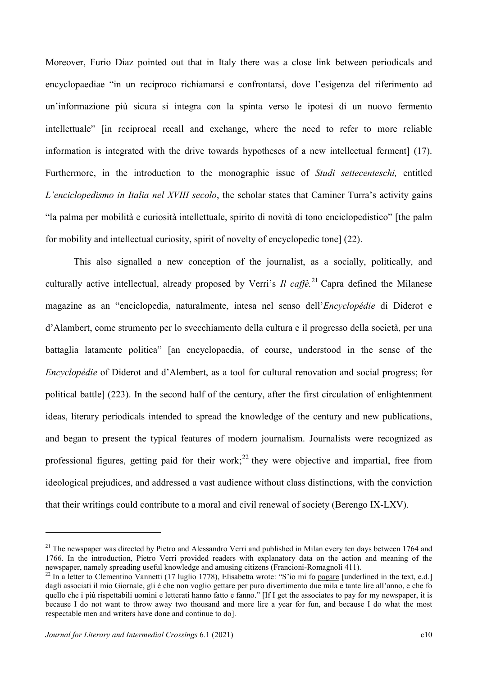Moreover, Furio Diaz pointed out that in Italy there was a close link between periodicals and encyclopaediae "in un reciproco richiamarsi e confrontarsi, dove l'esigenza del riferimento ad un'informazione più sicura si integra con la spinta verso le ipotesi di un nuovo fermento intellettuale" [in reciprocal recall and exchange, where the need to refer to more reliable information is integrated with the drive towards hypotheses of a new intellectual ferment] (17). Furthermore, in the introduction to the monographic issue of *Studi settecenteschi*, entitled L'enciclopedismo in Italia nel XVIII secolo, the scholar states that Caminer Turra's activity gains "la palma per mobilità e curiosità intellettuale, spirito di novità di tono enciclopedistico" [the palm for mobility and intellectual curiosity, spirit of novelty of encyclopedic tone] (22).

This also signalled a new conception of the journalist, as a socially, politically, and culturally active intellectual, already proposed by Verri's Il caffè<sup>21</sup> Capra defined the Milanese magazine as an "enciclopedia, naturalmente, intesa nel senso dell'Encyclopédie di Diderot e d'Alambert, come strumento per lo svecchiamento della cultura e il progresso della società, per una battaglia latamente politica" [an encyclopaedia, of course, understood in the sense of the Encyclopédie of Diderot and d'Alembert, as a tool for cultural renovation and social progress; for political battle] (223). In the second half of the century, after the first circulation of enlightenment ideas, literary periodicals intended to spread the knowledge of the century and new publications, and began to present the typical features of modern journalism. Journalists were recognized as professional figures, getting paid for their work;<sup>22</sup> they were objective and impartial, free from ideological prejudices, and addressed a vast audience without class distinctions, with the conviction that their writings could contribute to a moral and civil renewal of society (Berengo IX-LXV).

 $21$  The newspaper was directed by Pietro and Alessandro Verri and published in Milan every ten days between 1764 and 1766. In the introduction, Pietro Verri provided readers with explanatory data on the action and meaning of the newspaper, namely spreading useful knowledge and amusing citizens (Francioni-Romagnoli 411).

 $^{22}$  In a letter to Clementino Vannetti (17 luglio 1778), Elisabetta wrote: "S'io mi fo pagare [underlined in the text, e.d.] dagli associati il mio Giornale, gli è che non voglio gettare per puro divertimento due mila e tante lire all'anno, e che fo quello che i più rispettabili uomini e letterati hanno fatto e fanno." [If I get the associates to pay for my newspaper, it is because I do not want to throw away two thousand and more lire a year for fun, and because I do what the most respectable men and writers have done and continue to do].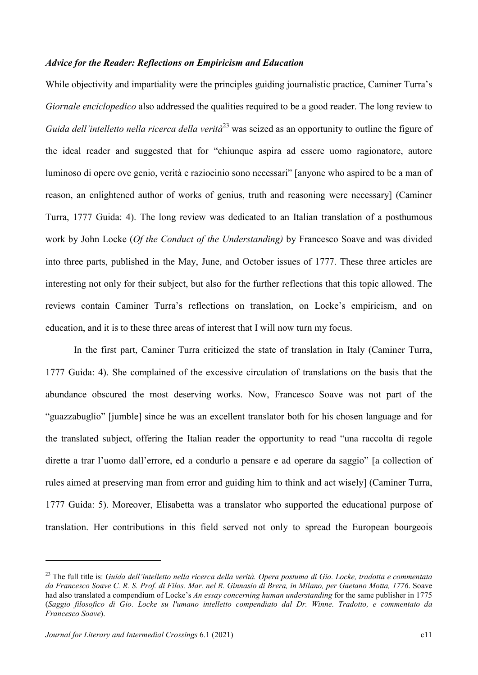#### Advice for the Reader: Reflections on Empiricism and Education

While objectivity and impartiality were the principles guiding journalistic practice, Caminer Turra's Giornale enciclopedico also addressed the qualities required to be a good reader. The long review to Guida dell'intelletto nella ricerca della verità<sup>23</sup> was seized as an opportunity to outline the figure of the ideal reader and suggested that for "chiunque aspira ad essere uomo ragionatore, autore luminoso di opere ove genio, verità e raziocinio sono necessari" [anyone who aspired to be a man of reason, an enlightened author of works of genius, truth and reasoning were necessary] (Caminer Turra, 1777 Guida: 4). The long review was dedicated to an Italian translation of a posthumous work by John Locke (Of the Conduct of the Understanding) by Francesco Soave and was divided into three parts, published in the May, June, and October issues of 1777. These three articles are interesting not only for their subject, but also for the further reflections that this topic allowed. The reviews contain Caminer Turra's reflections on translation, on Locke's empiricism, and on education, and it is to these three areas of interest that I will now turn my focus.

In the first part, Caminer Turra criticized the state of translation in Italy (Caminer Turra, 1777 Guida: 4). She complained of the excessive circulation of translations on the basis that the abundance obscured the most deserving works. Now, Francesco Soave was not part of the "guazzabuglio" [jumble] since he was an excellent translator both for his chosen language and for the translated subject, offering the Italian reader the opportunity to read "una raccolta di regole dirette a trar l'uomo dall'errore, ed a condurlo a pensare e ad operare da saggio" [a collection of rules aimed at preserving man from error and guiding him to think and act wisely] (Caminer Turra, 1777 Guida: 5). Moreover, Elisabetta was a translator who supported the educational purpose of translation. Her contributions in this field served not only to spread the European bourgeois

 $23$  The full title is: Guida dell'intelletto nella ricerca della verità. Opera postuma di Gio. Locke, tradotta e commentata da Francesco Soave C. R. S. Prof. di Filos. Mar. nel R. Ginnasio di Brera, in Milano, per Gaetano Motta, 1776. Soave had also translated a compendium of Locke's An essay concerning human understanding for the same publisher in 1775 (Saggio filosofico di Gio. Locke su l'umano intelletto compendiato dal Dr. Winne. Tradotto, e commentato da Francesco Soave).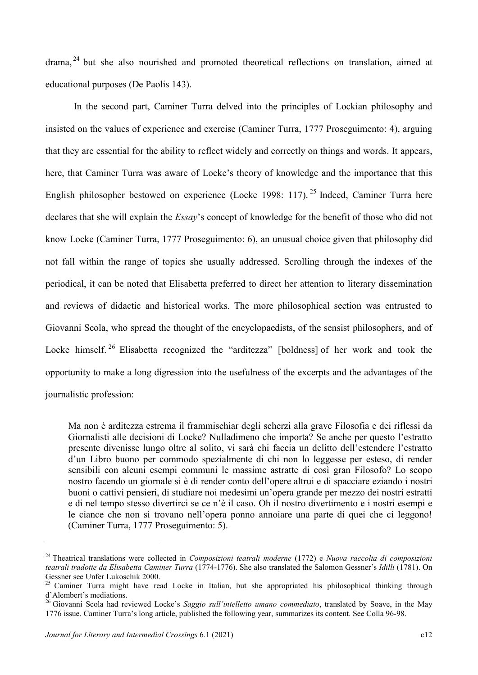drama, <sup>24</sup> but she also nourished and promoted theoretical reflections on translation, aimed at educational purposes (De Paolis 143).

In the second part, Caminer Turra delved into the principles of Lockian philosophy and insisted on the values of experience and exercise (Caminer Turra, 1777 Proseguimento: 4), arguing that they are essential for the ability to reflect widely and correctly on things and words. It appears, here, that Caminer Turra was aware of Locke's theory of knowledge and the importance that this English philosopher bestowed on experience (Locke 1998: 117).<sup>25</sup> Indeed, Caminer Turra here declares that she will explain the *Essay*'s concept of knowledge for the benefit of those who did not know Locke (Caminer Turra, 1777 Proseguimento: 6), an unusual choice given that philosophy did not fall within the range of topics she usually addressed. Scrolling through the indexes of the periodical, it can be noted that Elisabetta preferred to direct her attention to literary dissemination and reviews of didactic and historical works. The more philosophical section was entrusted to Giovanni Scola, who spread the thought of the encyclopaedists, of the sensist philosophers, and of Locke himself.<sup>26</sup> Elisabetta recognized the "arditezza" [boldness] of her work and took the opportunity to make a long digression into the usefulness of the excerpts and the advantages of the journalistic profession:

Ma non è arditezza estrema il frammischiar degli scherzi alla grave Filosofia e dei riflessi da Giornalisti alle decisioni di Locke? Nulladimeno che importa? Se anche per questo l'estratto presente divenisse lungo oltre al solito, vi sarà chi faccia un delitto dell'estendere l'estratto d'un Libro buono per commodo spezialmente di chi non lo leggesse per esteso, di render sensibili con alcuni esempi communi le massime astratte di così gran Filosofo? Lo scopo nostro facendo un giornale si è di render conto dell'opere altrui e di spacciare eziando i nostri buoni o cattivi pensieri, di studiare noi medesimi un'opera grande per mezzo dei nostri estratti e di nel tempo stesso divertirci se ce n'è il caso. Oh il nostro divertimento e i nostri esempi e le ciance che non si trovano nell'opera ponno annoiare una parte di quei che ci leggono! (Caminer Turra, 1777 Proseguimento: 5).

 $24$  Theatrical translations were collected in *Composizioni teatrali moderne* (1772) e *Nuova raccolta di composizioni* teatrali tradotte da Elisabetta Caminer Turra (1774-1776). She also translated the Salomon Gessner's Idilli (1781). On Gessner see Unfer Lukoschik 2000.

<sup>25</sup> Caminer Turra might have read Locke in Italian, but she appropriated his philosophical thinking through d'Alembert's mediations.

<sup>&</sup>lt;sup>26</sup> Giovanni Scola had reviewed Locke's Saggio sull'intelletto umano commediato, translated by Soave, in the May 1776 issue. Caminer Turra's long article, published the following year, summarizes its content. See Colla 96-98.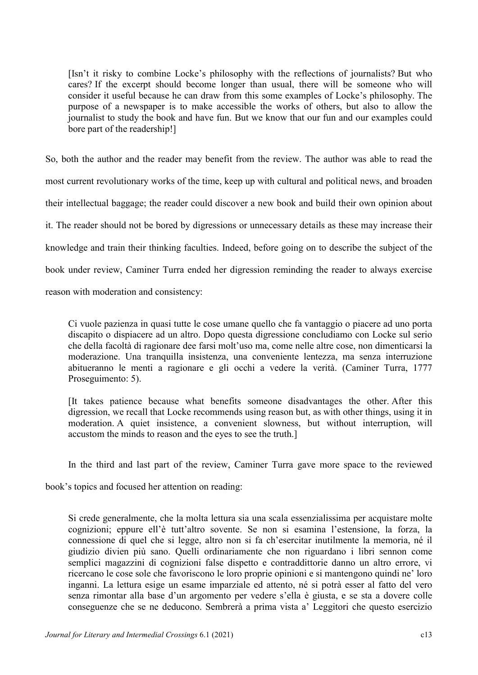[Isn't it risky to combine Locke's philosophy with the reflections of journalists? But who cares? If the excerpt should become longer than usual, there will be someone who will consider it useful because he can draw from this some examples of Locke's philosophy. The purpose of a newspaper is to make accessible the works of others, but also to allow the journalist to study the book and have fun. But we know that our fun and our examples could bore part of the readership!]

So, both the author and the reader may benefit from the review. The author was able to read the most current revolutionary works of the time, keep up with cultural and political news, and broaden their intellectual baggage; the reader could discover a new book and build their own opinion about it. The reader should not be bored by digressions or unnecessary details as these may increase their knowledge and train their thinking faculties. Indeed, before going on to describe the subject of the book under review, Caminer Turra ended her digression reminding the reader to always exercise reason with moderation and consistency:

Ci vuole pazienza in quasi tutte le cose umane quello che fa vantaggio o piacere ad uno porta discapito o dispiacere ad un altro. Dopo questa digressione concludiamo con Locke sul serio che della facoltà di ragionare dee farsi molt'uso ma, come nelle altre cose, non dimenticarsi la moderazione. Una tranquilla insistenza, una conveniente lentezza, ma senza interruzione abitueranno le menti a ragionare e gli occhi a vedere la verità. (Caminer Turra, 1777 Proseguimento: 5).

[It takes patience because what benefits someone disadvantages the other. After this digression, we recall that Locke recommends using reason but, as with other things, using it in moderation. A quiet insistence, a convenient slowness, but without interruption, will accustom the minds to reason and the eyes to see the truth.]

In the third and last part of the review, Caminer Turra gave more space to the reviewed

book's topics and focused her attention on reading:

Si crede generalmente, che la molta lettura sia una scala essenzialissima per acquistare molte cognizioni; eppure ell'è tutt'altro sovente. Se non si esamina l'estensione, la forza, la connessione di quel che si legge, altro non si fa ch'esercitar inutilmente la memoria, né il giudizio divien più sano. Quelli ordinariamente che non riguardano i libri sennon come semplici magazzini di cognizioni false dispetto e contraddittorie danno un altro errore, vi ricercano le cose sole che favoriscono le loro proprie opinioni e si mantengono quindi ne' loro inganni. La lettura esige un esame imparziale ed attento, né si potrà esser al fatto del vero senza rimontar alla base d'un argomento per vedere s'ella è giusta, e se sta a dovere colle conseguenze che se ne deducono. Sembrerà a prima vista a' Leggitori che questo esercizio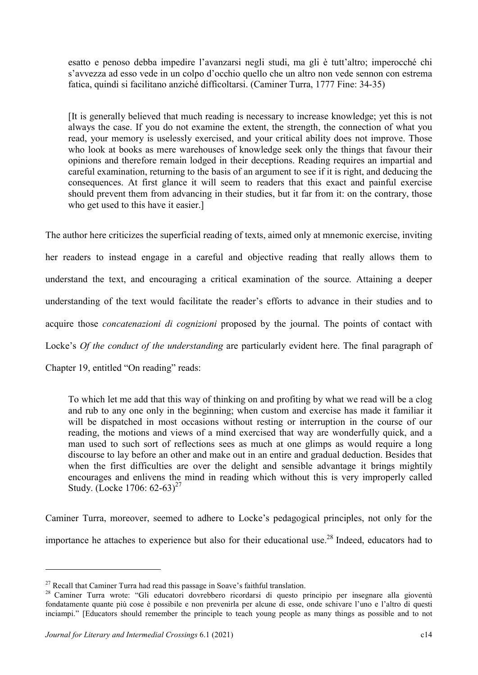esatto e penoso debba impedire l'avanzarsi negli studi, ma gli è tutt'altro; imperocché chi s'avvezza ad esso vede in un colpo d'occhio quello che un altro non vede sennon con estrema fatica, quindi si facilitano anziché difficoltarsi. (Caminer Turra, 1777 Fine: 34-35)

[It is generally believed that much reading is necessary to increase knowledge; yet this is not always the case. If you do not examine the extent, the strength, the connection of what you read, your memory is uselessly exercised, and your critical ability does not improve. Those who look at books as mere warehouses of knowledge seek only the things that favour their opinions and therefore remain lodged in their deceptions. Reading requires an impartial and careful examination, returning to the basis of an argument to see if it is right, and deducing the consequences. At first glance it will seem to readers that this exact and painful exercise should prevent them from advancing in their studies, but it far from it: on the contrary, those who get used to this have it easier.]

The author here criticizes the superficial reading of texts, aimed only at mnemonic exercise, inviting her readers to instead engage in a careful and objective reading that really allows them to understand the text, and encouraging a critical examination of the source. Attaining a deeper understanding of the text would facilitate the reader's efforts to advance in their studies and to acquire those *concatenazioni di cognizioni* proposed by the journal. The points of contact with Locke's *Of the conduct of the understanding* are particularly evident here. The final paragraph of Chapter 19, entitled "On reading" reads:

To which let me add that this way of thinking on and profiting by what we read will be a clog and rub to any one only in the beginning; when custom and exercise has made it familiar it will be dispatched in most occasions without resting or interruption in the course of our reading, the motions and views of a mind exercised that way are wonderfully quick, and a man used to such sort of reflections sees as much at one glimps as would require a long discourse to lay before an other and make out in an entire and gradual deduction. Besides that when the first difficulties are over the delight and sensible advantage it brings mightily encourages and enlivens the mind in reading which without this is very improperly called Study. (Locke 1706:  $62-63$ )<sup>27</sup>

Caminer Turra, moreover, seemed to adhere to Locke's pedagogical principles, not only for the importance he attaches to experience but also for their educational use.<sup>28</sup> Indeed, educators had to

 $27$  Recall that Caminer Turra had read this passage in Soave's faithful translation.

<sup>&</sup>lt;sup>28</sup> Caminer Turra wrote: "Gli educatori dovrebbero ricordarsi di questo principio per insegnare alla gioventù fondatamente quante più cose è possibile e non prevenirla per alcune di esse, onde schivare l'uno e l'altro di questi inciampi." [Educators should remember the principle to teach young people as many things as possible and to not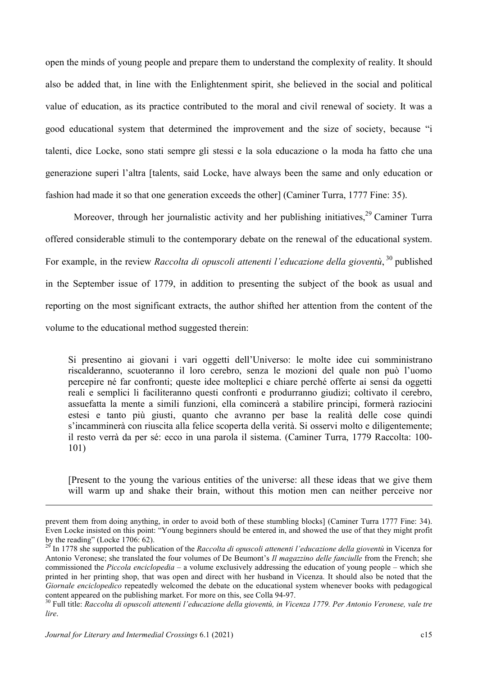open the minds of young people and prepare them to understand the complexity of reality. It should also be added that, in line with the Enlightenment spirit, she believed in the social and political value of education, as its practice contributed to the moral and civil renewal of society. It was a good educational system that determined the improvement and the size of society, because "i talenti, dice Locke, sono stati sempre gli stessi e la sola educazione o la moda ha fatto che una generazione superi l'altra [talents, said Locke, have always been the same and only education or fashion had made it so that one generation exceeds the other] (Caminer Turra, 1777 Fine: 35).

Moreover, through her journalistic activity and her publishing initiatives,<sup>29</sup> Caminer Turra offered considerable stimuli to the contemporary debate on the renewal of the educational system. For example, in the review *Raccolta di opuscoli attenenti l'educazione della gioventù*,  $30$  published in the September issue of 1779, in addition to presenting the subject of the book as usual and reporting on the most significant extracts, the author shifted her attention from the content of the volume to the educational method suggested therein:

Si presentino ai giovani i vari oggetti dell'Universo: le molte idee cui somministrano riscalderanno, scuoteranno il loro cerebro, senza le mozioni del quale non può l'uomo percepire né far confronti; queste idee molteplici e chiare perché offerte ai sensi da oggetti reali e semplici li faciliteranno questi confronti e produrranno giudizi; coltivato il cerebro, assuefatta la mente a simili funzioni, ella comincerà a stabilire principi, formerà raziocini estesi e tanto più giusti, quanto che avranno per base la realità delle cose quindi s'incamminerà con riuscita alla felice scoperta della verità. Si osservi molto e diligentemente; il resto verrà da per sé: ecco in una parola il sistema. (Caminer Turra, 1779 Raccolta: 100- 101)

[Present to the young the various entities of the universe: all these ideas that we give them will warm up and shake their brain, without this motion men can neither perceive nor

prevent them from doing anything, in order to avoid both of these stumbling blocks] (Caminer Turra 1777 Fine: 34). Even Locke insisted on this point: "Young beginners should be entered in, and showed the use of that they might profit by the reading" (Locke 1706: 62).

 $^{29}$  In 1778 she supported the publication of the Raccolta di opuscoli attenenti l'educazione della gioventù in Vicenza for Antonio Veronese; she translated the four volumes of De Beumont's Il magazzino delle fanciulle from the French; she commissioned the *Piccola enciclopedia* – a volume exclusively addressing the education of young people – which she printed in her printing shop, that was open and direct with her husband in Vicenza. It should also be noted that the Giornale enciclopedico repeatedly welcomed the debate on the educational system whenever books with pedagogical content appeared on the publishing market. For more on this, see Colla 94-97.

<sup>&</sup>lt;sup>30</sup> Full title: Raccolta di opuscoli attenenti l'educazione della gioventù, in Vicenza 1779. Per Antonio Veronese, vale tre lire.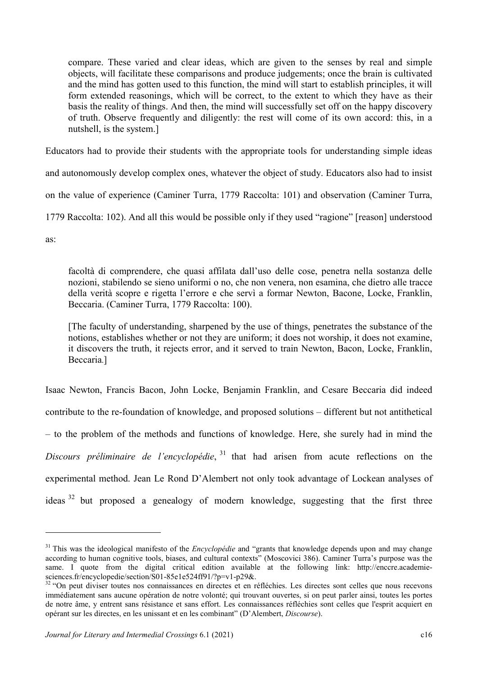compare. These varied and clear ideas, which are given to the senses by real and simple objects, will facilitate these comparisons and produce judgements; once the brain is cultivated and the mind has gotten used to this function, the mind will start to establish principles, it will form extended reasonings, which will be correct, to the extent to which they have as their basis the reality of things. And then, the mind will successfully set off on the happy discovery of truth. Observe frequently and diligently: the rest will come of its own accord: this, in a nutshell, is the system.]

Educators had to provide their students with the appropriate tools for understanding simple ideas

and autonomously develop complex ones, whatever the object of study. Educators also had to insist

on the value of experience (Caminer Turra, 1779 Raccolta: 101) and observation (Caminer Turra,

1779 Raccolta: 102). And all this would be possible only if they used "ragione" [reason] understood

as:

-

facoltà di comprendere, che quasi affilata dall'uso delle cose, penetra nella sostanza delle nozioni, stabilendo se sieno uniformi o no, che non venera, non esamina, che dietro alle tracce della verità scopre e rigetta l'errore e che servì a formar Newton, Bacone, Locke, Franklin, Beccaria. (Caminer Turra, 1779 Raccolta: 100).

[The faculty of understanding, sharpened by the use of things, penetrates the substance of the notions, establishes whether or not they are uniform; it does not worship, it does not examine, it discovers the truth, it rejects error, and it served to train Newton, Bacon, Locke, Franklin, Beccaria.]

Isaac Newton, Francis Bacon, John Locke, Benjamin Franklin, and Cesare Beccaria did indeed contribute to the re-foundation of knowledge, and proposed solutions – different but not antithetical – to the problem of the methods and functions of knowledge. Here, she surely had in mind the Discours préliminaire de l'encyclopédie,  $31$  that had arisen from acute reflections on the experimental method. Jean Le Rond D'Alembert not only took advantage of Lockean analyses of ideas <sup>32</sup> but proposed a genealogy of modern knowledge, suggesting that the first three

 $31$  This was the ideological manifesto of the *Encyclopédie* and "grants that knowledge depends upon and may change according to human cognitive tools, biases, and cultural contexts" (Moscovici 386). Caminer Turra's purpose was the same. I quote from the digital critical edition available at the following link: http://enccre.academiesciences.fr/encyclopedie/section/S01-85e1e524ff91/?p=v1-p29&.

<sup>&</sup>lt;sup>32</sup> "On peut diviser toutes nos connaissances en directes et en réfléchies. Les directes sont celles que nous recevons immédiatement sans aucune opération de notre volonté; qui trouvant ouvertes, si on peut parler ainsi, toutes les portes de notre âme, y entrent sans résistance et sans effort. Les connaissances réfléchies sont celles que l'esprit acquiert en opérant sur les directes, en les unissant et en les combinant" (D'Alembert, Discourse).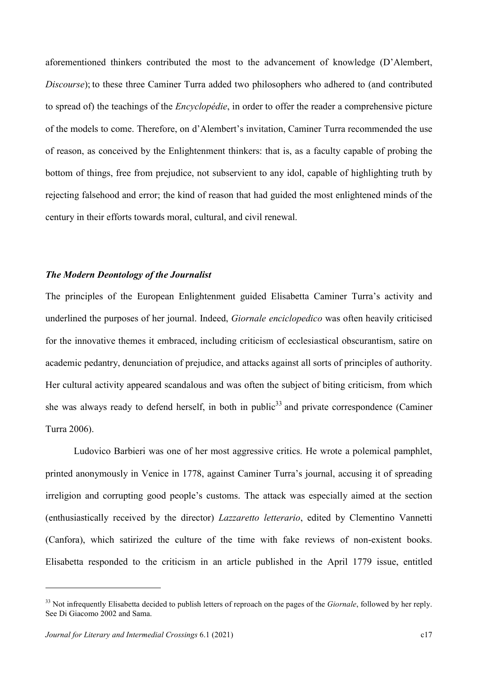aforementioned thinkers contributed the most to the advancement of knowledge (D'Alembert, Discourse); to these three Caminer Turra added two philosophers who adhered to (and contributed to spread of) the teachings of the Encyclopédie, in order to offer the reader a comprehensive picture of the models to come. Therefore, on d'Alembert's invitation, Caminer Turra recommended the use of reason, as conceived by the Enlightenment thinkers: that is, as a faculty capable of probing the bottom of things, free from prejudice, not subservient to any idol, capable of highlighting truth by rejecting falsehood and error; the kind of reason that had guided the most enlightened minds of the century in their efforts towards moral, cultural, and civil renewal.

#### The Modern Deontology of the Journalist

The principles of the European Enlightenment guided Elisabetta Caminer Turra's activity and underlined the purposes of her journal. Indeed, Giornale enciclopedico was often heavily criticised for the innovative themes it embraced, including criticism of ecclesiastical obscurantism, satire on academic pedantry, denunciation of prejudice, and attacks against all sorts of principles of authority. Her cultural activity appeared scandalous and was often the subject of biting criticism, from which she was always ready to defend herself, in both in public<sup>33</sup> and private correspondence (Caminer Turra 2006).

Ludovico Barbieri was one of her most aggressive critics. He wrote a polemical pamphlet, printed anonymously in Venice in 1778, against Caminer Turra's journal, accusing it of spreading irreligion and corrupting good people's customs. The attack was especially aimed at the section (enthusiastically received by the director) Lazzaretto letterario, edited by Clementino Vannetti (Canfora), which satirized the culture of the time with fake reviews of non-existent books. Elisabetta responded to the criticism in an article published in the April 1779 issue, entitled

<sup>&</sup>lt;sup>33</sup> Not infrequently Elisabetta decided to publish letters of reproach on the pages of the *Giornale*, followed by her reply. See Di Giacomo 2002 and Sama.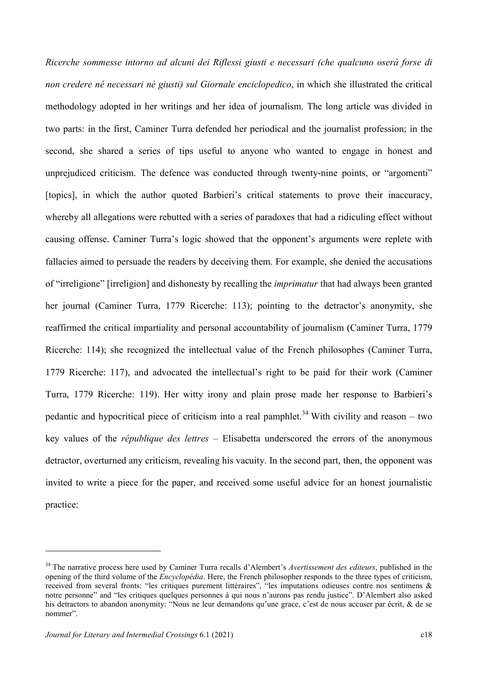Ricerche sommesse intorno ad alcuni dei Riflessi giusti e necessari (che qualcuno oserà forse di non credere né necessari né giusti) sul Giornale enciclopedico, in which she illustrated the critical methodology adopted in her writings and her idea of journalism. The long article was divided in two parts: in the first, Caminer Turra defended her periodical and the journalist profession; in the second, she shared a series of tips useful to anyone who wanted to engage in honest and unprejudiced criticism. The defence was conducted through twenty-nine points, or "argomenti" [topics], in which the author quoted Barbieri's critical statements to prove their inaccuracy, whereby all allegations were rebutted with a series of paradoxes that had a ridiculing effect without causing offense. Caminer Turra's logic showed that the opponent's arguments were replete with fallacies aimed to persuade the readers by deceiving them. For example, she denied the accusations of "irreligione" [irreligion] and dishonesty by recalling the imprimatur that had always been granted her journal (Caminer Turra, 1779 Ricerche: 113); pointing to the detractor's anonymity, she reaffirmed the critical impartiality and personal accountability of journalism (Caminer Turra, 1779 Ricerche: 114); she recognized the intellectual value of the French philosophes (Caminer Turra, 1779 Ricerche: 117), and advocated the intellectual's right to be paid for their work (Caminer Turra, 1779 Ricerche: 119). Her witty irony and plain prose made her response to Barbieri's pedantic and hypocritical piece of criticism into a real pamphlet.<sup>34</sup> With civility and reason – two key values of the république des lettres – Elisabetta underscored the errors of the anonymous detractor, overturned any criticism, revealing his vacuity. In the second part, then, the opponent was invited to write a piece for the paper, and received some useful advice for an honest journalistic practice:

<sup>&</sup>lt;sup>34</sup> The narrative process here used by Caminer Turra recalls d'Alembert's Avertissement des editeurs, published in the opening of the third volume of the *Encyclopédia*. Here, the French philosopher responds to the three types of criticism, received from several fronts: "les critiques purement littéraires", "les imputations odieuses contre nos sentimens & notre personne" and "les critiques quelques personnes à qui nous n'aurons pas rendu justice". D'Alembert also asked his detractors to abandon anonymity: "Nous ne leur demandons qu'une grace, c'est de nous accuser par écrit, & de se nommer".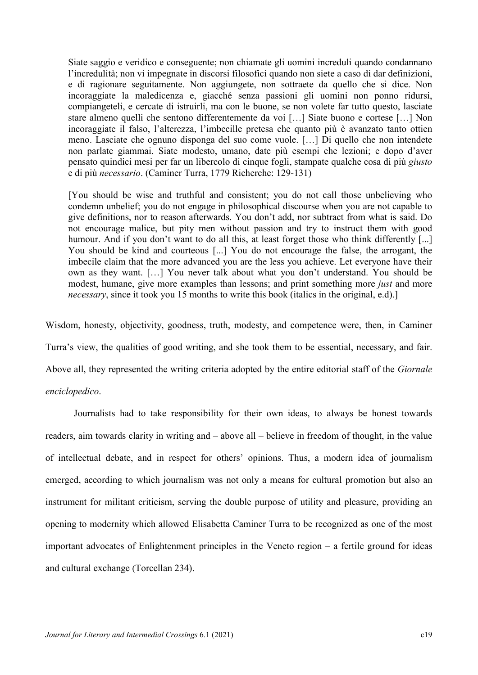Siate saggio e veridico e conseguente; non chiamate gli uomini increduli quando condannano l'incredulità; non vi impegnate in discorsi filosofici quando non siete a caso di dar definizioni, e di ragionare seguitamente. Non aggiungete, non sottraete da quello che si dice. Non incoraggiate la maledicenza e, giacché senza passioni gli uomini non ponno ridursi, compiangeteli, e cercate di istruirli, ma con le buone, se non volete far tutto questo, lasciate stare almeno quelli che sentono differentemente da voi […] Siate buono e cortese […] Non incoraggiate il falso, l'alterezza, l'imbecille pretesa che quanto più è avanzato tanto ottien meno. Lasciate che ognuno disponga del suo come vuole. […] Di quello che non intendete non parlate giammai. Siate modesto, umano, date più esempi che lezioni; e dopo d'aver pensato quindici mesi per far un libercolo di cinque fogli, stampate qualche cosa di più giusto e di più necessario. (Caminer Turra, 1779 Richerche: 129-131)

[You should be wise and truthful and consistent; you do not call those unbelieving who condemn unbelief; you do not engage in philosophical discourse when you are not capable to give definitions, nor to reason afterwards. You don't add, nor subtract from what is said. Do not encourage malice, but pity men without passion and try to instruct them with good humour. And if you don't want to do all this, at least forget those who think differently [...] You should be kind and courteous [...] You do not encourage the false, the arrogant, the imbecile claim that the more advanced you are the less you achieve. Let everyone have their own as they want. […] You never talk about what you don't understand. You should be modest, humane, give more examples than lessons; and print something more *just* and more necessary, since it took you 15 months to write this book (italics in the original, e.d).]

Wisdom, honesty, objectivity, goodness, truth, modesty, and competence were, then, in Caminer

Turra's view, the qualities of good writing, and she took them to be essential, necessary, and fair.

Above all, they represented the writing criteria adopted by the entire editorial staff of the Giornale

### enciclopedico.

Journalists had to take responsibility for their own ideas, to always be honest towards readers, aim towards clarity in writing and – above all – believe in freedom of thought, in the value of intellectual debate, and in respect for others' opinions. Thus, a modern idea of journalism emerged, according to which journalism was not only a means for cultural promotion but also an instrument for militant criticism, serving the double purpose of utility and pleasure, providing an opening to modernity which allowed Elisabetta Caminer Turra to be recognized as one of the most important advocates of Enlightenment principles in the Veneto region – a fertile ground for ideas and cultural exchange (Torcellan 234).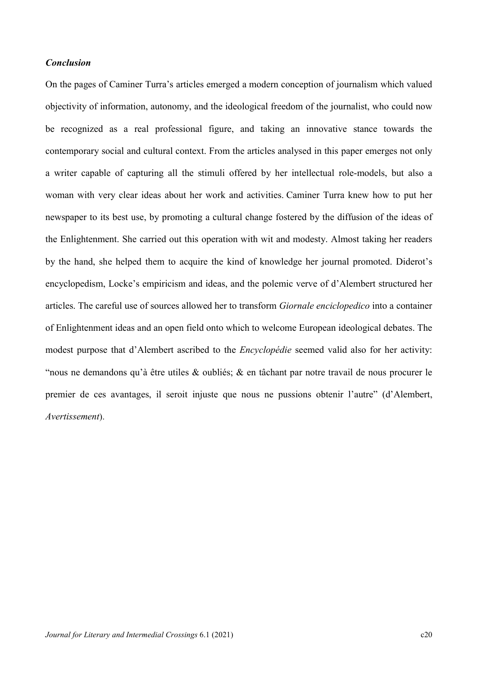### Conclusion

On the pages of Caminer Turra's articles emerged a modern conception of journalism which valued objectivity of information, autonomy, and the ideological freedom of the journalist, who could now be recognized as a real professional figure, and taking an innovative stance towards the contemporary social and cultural context. From the articles analysed in this paper emerges not only a writer capable of capturing all the stimuli offered by her intellectual role-models, but also a woman with very clear ideas about her work and activities. Caminer Turra knew how to put her newspaper to its best use, by promoting a cultural change fostered by the diffusion of the ideas of the Enlightenment. She carried out this operation with wit and modesty. Almost taking her readers by the hand, she helped them to acquire the kind of knowledge her journal promoted. Diderot's encyclopedism, Locke's empiricism and ideas, and the polemic verve of d'Alembert structured her articles. The careful use of sources allowed her to transform Giornale enciclopedico into a container of Enlightenment ideas and an open field onto which to welcome European ideological debates. The modest purpose that d'Alembert ascribed to the Encyclopédie seemed valid also for her activity: "nous ne demandons qu'à être utiles & oubliés; & en tâchant par notre travail de nous procurer le premier de ces avantages, il seroit injuste que nous ne pussions obtenir l'autre" (d'Alembert, Avertissement).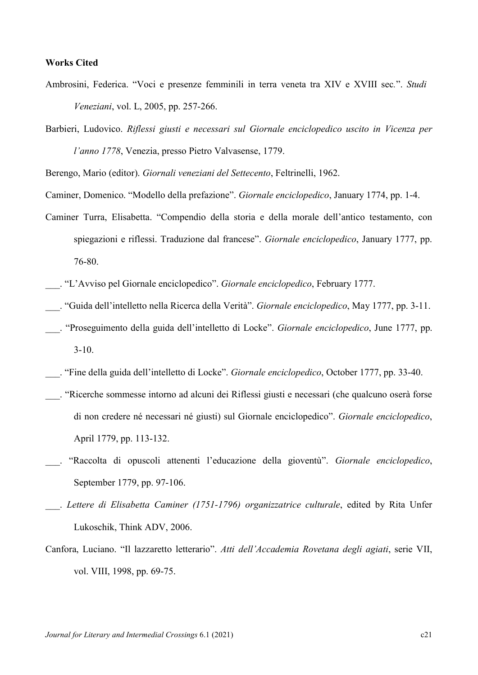#### Works Cited

- Ambrosini, Federica. "Voci e presenze femminili in terra veneta tra XIV e XVIII sec.". Studi Veneziani, vol. L, 2005, pp. 257-266.
- Barbieri, Ludovico. Riflessi giusti e necessari sul Giornale enciclopedico uscito in Vicenza per l'anno 1778, Venezia, presso Pietro Valvasense, 1779.

Berengo, Mario (editor). Giornali veneziani del Settecento, Feltrinelli, 1962.

Caminer, Domenico. "Modello della prefazione". Giornale enciclopedico, January 1774, pp. 1-4.

- Caminer Turra, Elisabetta. "Compendio della storia e della morale dell'antico testamento, con spiegazioni e riflessi. Traduzione dal francese". Giornale enciclopedico, January 1777, pp. 76-80.
- \_\_\_. "L'Avviso pel Giornale enciclopedico". Giornale enciclopedico, February 1777.
- \_\_\_. "Guida dell'intelletto nella Ricerca della Verità". Giornale enciclopedico, May 1777, pp. 3-11.
- . "Proseguimento della guida dell'intelletto di Locke". Giornale enciclopedico, June 1777, pp. 3-10.
- \_\_\_. "Fine della guida dell'intelletto di Locke". Giornale enciclopedico, October 1777, pp. 33-40.
- \_\_\_. "Ricerche sommesse intorno ad alcuni dei Riflessi giusti e necessari (che qualcuno oserà forse di non credere né necessari né giusti) sul Giornale enciclopedico". Giornale enciclopedico, April 1779, pp. 113-132.
- "Raccolta di opuscoli attenenti l'educazione della gioventù". Giornale enciclopedico, September 1779, pp. 97-106.
- . Lettere di Elisabetta Caminer (1751-1796) organizzatrice culturale, edited by Rita Unfer Lukoschik, Think ADV, 2006.
- Canfora, Luciano. "Il lazzaretto letterario". Atti dell'Accademia Rovetana degli agiati, serie VII, vol. VIII, 1998, pp. 69-75.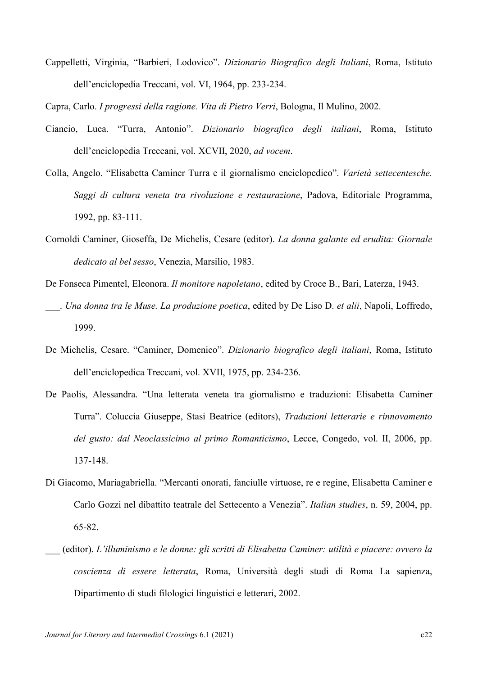Cappelletti, Virginia, "Barbieri, Lodovico". Dizionario Biografico degli Italiani, Roma, Istituto dell'enciclopedia Treccani, vol. VI, 1964, pp. 233-234.

Capra, Carlo. I progressi della ragione. Vita di Pietro Verri, Bologna, Il Mulino, 2002.

- Ciancio, Luca. "Turra, Antonio". Dizionario biografico degli italiani, Roma, Istituto dell'enciclopedia Treccani, vol. XCVII, 2020, ad vocem.
- Colla, Angelo. "Elisabetta Caminer Turra e il giornalismo enciclopedico". Varietà settecentesche. Saggi di cultura veneta tra rivoluzione e restaurazione, Padova, Editoriale Programma, 1992, pp. 83-111.
- Cornoldi Caminer, Gioseffa, De Michelis, Cesare (editor). La donna galante ed erudita: Giornale dedicato al bel sesso, Venezia, Marsilio, 1983.
- De Fonseca Pimentel, Eleonora. Il monitore napoletano, edited by Croce B., Bari, Laterza, 1943.
- . Una donna tra le Muse. La produzione poetica, edited by De Liso D. et alii, Napoli, Loffredo, 1999.
- De Michelis, Cesare. "Caminer, Domenico". Dizionario biografico degli italiani, Roma, Istituto dell'enciclopedica Treccani, vol. XVII, 1975, pp. 234-236.
- De Paolis, Alessandra. "Una letterata veneta tra giornalismo e traduzioni: Elisabetta Caminer Turra". Coluccia Giuseppe, Stasi Beatrice (editors), Traduzioni letterarie e rinnovamento del gusto: dal Neoclassicimo al primo Romanticismo, Lecce, Congedo, vol. II, 2006, pp. 137-148.
- Di Giacomo, Mariagabriella. "Mercanti onorati, fanciulle virtuose, re e regine, Elisabetta Caminer e Carlo Gozzi nel dibattito teatrale del Settecento a Venezia". Italian studies, n. 59, 2004, pp. 65-82.
- \_\_\_ (editor). L'illuminismo e le donne: gli scritti di Elisabetta Caminer: utilità e piacere: ovvero la coscienza di essere letterata, Roma, Università degli studi di Roma La sapienza, Dipartimento di studi filologici linguistici e letterari, 2002.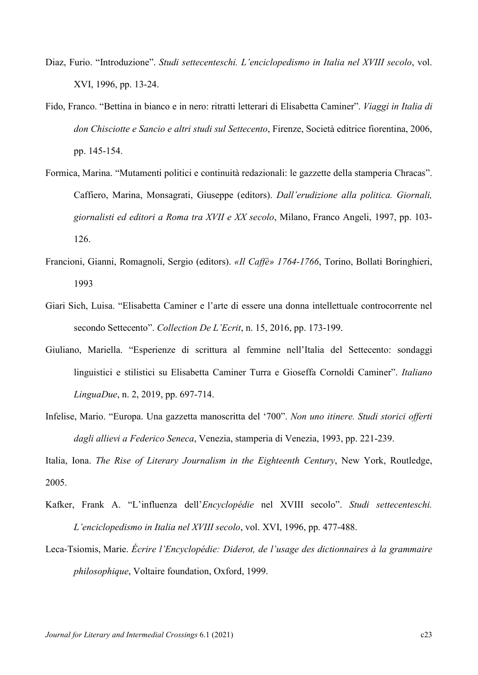- Diaz, Furio. "Introduzione". Studi settecenteschi. L'enciclopedismo in Italia nel XVIII secolo, vol. XVI, 1996, pp. 13-24.
- Fido, Franco. "Bettina in bianco e in nero: ritratti letterari di Elisabetta Caminer". Viaggi in Italia di don Chisciotte e Sancio e altri studi sul Settecento, Firenze, Società editrice fiorentina, 2006, pp. 145-154.
- Formica, Marina. "Mutamenti politici e continuità redazionali: le gazzette della stamperia Chracas". Caffiero, Marina, Monsagrati, Giuseppe (editors). Dall'erudizione alla politica. Giornali, giornalisti ed editori a Roma tra XVII e XX secolo, Milano, Franco Angeli, 1997, pp. 103- 126.
- Francioni, Gianni, Romagnoli, Sergio (editors). «Il Caffè» 1764-1766, Torino, Bollati Boringhieri, 1993
- Giari Sich, Luisa. "Elisabetta Caminer e l'arte di essere una donna intellettuale controcorrente nel secondo Settecento". Collection De L'Ecrit, n. 15, 2016, pp. 173-199.
- Giuliano, Mariella. "Esperienze di scrittura al femmine nell'Italia del Settecento: sondaggi linguistici e stilistici su Elisabetta Caminer Turra e Gioseffa Cornoldi Caminer". Italiano LinguaDue, n. 2, 2019, pp. 697-714.
- Infelise, Mario. "Europa. Una gazzetta manoscritta del '700". Non uno itinere. Studi storici offerti dagli allievi a Federico Seneca, Venezia, stamperia di Venezia, 1993, pp. 221-239.

Italia, Iona. The Rise of Literary Journalism in the Eighteenth Century, New York, Routledge, 2005.

- Kafker, Frank A. "L'influenza dell'Encyclopédie nel XVIII secolo". Studi settecenteschi. L'enciclopedismo in Italia nel XVIII secolo, vol. XVI, 1996, pp. 477-488.
- Leca-Tsiomis, Marie. Écrire l'Encyclopédie: Diderot, de l'usage des dictionnaires à la grammaire philosophique, Voltaire foundation, Oxford, 1999.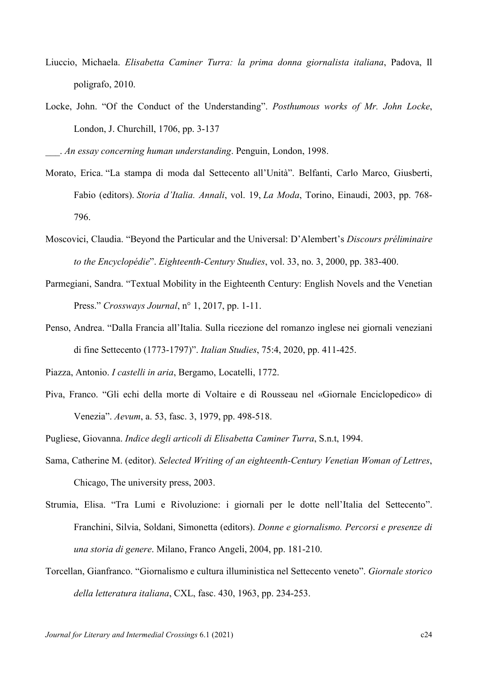- Liuccio, Michaela. Elisabetta Caminer Turra: la prima donna giornalista italiana, Padova, Il poligrafo, 2010.
- Locke, John. "Of the Conduct of the Understanding". Posthumous works of Mr. John Locke, London, J. Churchill, 1706, pp. 3-137

. An essay concerning human understanding. Penguin, London, 1998.

- Morato, Erica. "La stampa di moda dal Settecento all'Unità". Belfanti, Carlo Marco, Giusberti, Fabio (editors). Storia d'Italia. Annali, vol. 19, La Moda, Torino, Einaudi, 2003, pp. 768- 796.
- Moscovici, Claudia. "Beyond the Particular and the Universal: D'Alembert's Discours préliminaire to the Encyclopédie". Eighteenth-Century Studies, vol. 33, no. 3, 2000, pp. 383-400.
- Parmegiani, Sandra. "Textual Mobility in the Eighteenth Century: English Novels and the Venetian Press." Crossways Journal, n° 1, 2017, pp. 1-11.
- Penso, Andrea. "Dalla Francia all'Italia. Sulla ricezione del romanzo inglese nei giornali veneziani di fine Settecento (1773-1797)". Italian Studies, 75:4, 2020, pp. 411-425.
- Piazza, Antonio. I castelli in aria, Bergamo, Locatelli, 1772.
- Piva, Franco. "Gli echi della morte di Voltaire e di Rousseau nel «Giornale Enciclopedico» di Venezia". Aevum, a. 53, fasc. 3, 1979, pp. 498-518.

Pugliese, Giovanna. Indice degli articoli di Elisabetta Caminer Turra, S.n.t, 1994.

- Sama, Catherine M. (editor). Selected Writing of an eighteenth-Century Venetian Woman of Lettres, Chicago, The university press, 2003.
- Strumia, Elisa. "Tra Lumi e Rivoluzione: i giornali per le dotte nell'Italia del Settecento". Franchini, Silvia, Soldani, Simonetta (editors). Donne e giornalismo. Percorsi e presenze di una storia di genere. Milano, Franco Angeli, 2004, pp. 181-210.
- Torcellan, Gianfranco. "Giornalismo e cultura illuministica nel Settecento veneto". Giornale storico della letteratura italiana, CXL, fasc. 430, 1963, pp. 234-253.